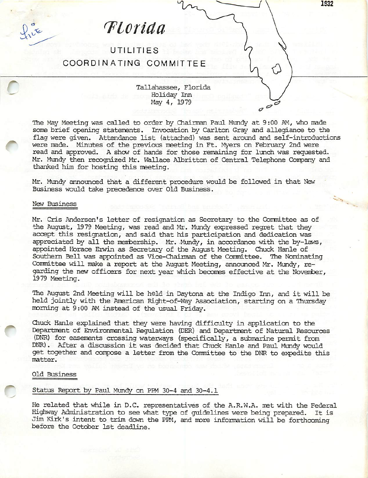^Lcrida

UTILITIES COORDINATING COMMITTEE

^ Tallahassee, Florida Holiday Inn May 4, 1979

> The May Meeting was called to order by Chairman Paul Mundy at 9:00 AM, who made some brief opening statements. Invocation by Carlton Gray and allegiance to the flag were given. Attendance list (attached) was sent around and self-introductions were made. Minutes of the previous meeting in Ft. Myers on February 2nd were read and approved. A show of hands for those remaining for lunch was requested, Mr. Mundy then recognized Mr. Wallace Albritton of Central Telephone Company and thanked him for hosting this meeting.

 $\overline{a}$ 

Mr. Mundy announced that a different procedure would be followed in that New Business would take precedence over Old Business.

# New Business

 $\int_{\mathcal{U}}^{\sigma}$ 

Mr. Cris Andersen's letter of resignation as Secretary to the Committee as of the August, 1979 Meeting, was read and Mr. Mundy expressed regret that they accept this resignation, and said that his participation and dedication was  $appecified$  by all the membership. Mr. Mundy, in accordance with the by-laws, appointed Horace Erwin as Secretary of the August Meeting. Chuck Hanle of Southern Bell was appointed as Vice-Chairman of the Committee. The Nominating Committee will make a report at the August Meeting, announced Mr. Mundy, regarding the new officers for next year which becomes effective at the November, 1979 Meeting.

The August 2nd Meeting will be held in Daytona at the Indigo Inn, and it will be held jointly with the American Right-of-Way Association, starting on a Thursday morning at 9:00 AM instead of the usual Friday.

Chuck Hanle explained that they were having difficulty in application to the Department of Environmental Eegulation (DER) and Department of Natural Pesources (DNR) for easements crossing waterways (specifically, a submarine permit from ENR). After a discussion it was decided that Chuck Hanle and Paul Muncfy would get together and compose a letter from the Committee to the DNR to expedite this matter.

# Old Business

# Status Report by Paul Mundy on PPM 30-4 and 30-4.1

He related that while in D.C. representatives of the A.R.W.A. met with the Federal Highway Administration to see what type of guidelines were being prepared. It is Jim Kirk's intent to trim down the PPM, and more information will be forthcoming before the Octcber 1st deadline.

1932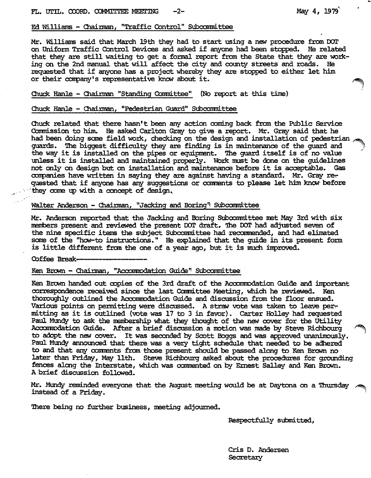### Ed Williams - Chainman, "Traffic Control" Subcommittee

Mr. Williams said that March 19th they had to start using a new procedure from DOT on Uniform Traffic Control Devices and asked if anyone had been stopped. He related that they are still waiting to get a formal report from the State that they are work ing on the 2nd manual that will affect the city and county streets and roads. He requested that if anyone has a project whereby they are stopped to either let him or their company's representative know about it.

Chuck Hanle - Chairman "Standing Committee" (No report at this time)

### Chuck Hanle - Chairman, "Pedestrian Guard" Subcommittee

Chuck related that there hasn't been any action coming back from the Public Service Ccmmission to him. He asked Carlton Gray to give a report. Mr. Gray said that he had been doing some field work, checking on the design and installation of pedestrian  $\sim$ guards. The biggest difficulty they are finding is in maintenance of the guard and the way it is installed on the pipes or equipment. The guard itself is of no value unless it is installed and maintained properly. Work must be done on the guidelines not only on design but on installation and maintenance before it is acceptable. Gas companies have written in saying they are against having a standard. Mr. Gray rer quested that if anyone has any suggestions or comments to please let him know before they come up with a concept of design.

### Walter Anderson - Chairman, "Jacking and Boring" Subcommittee

Mr. Mderson reported that the Jacking and Boring Subcommittee met 11^ 3rd with six members present and reviewed the present DOT draft. The DOT had adjusted seven of the nine specific items the subject Subcommittee had recommended, and had elimated some of the "how-to instructions." He explained that the guide in its present form is little different from the one of a year ago, but it is much improved.

Coffee Break-

### Ken Brown - Chairman, "Accommodation Guide" Subcommittee

Ken Brown handed out copies of the 3rd draft of the Accommodation Guide and important correspondence received since the last Committee Meeting, which he reviewed. Ken thoroughly outlined the Accommodation Guide and discussion from the floor ensued. Various points on permitting were discussed. A straw vote was taken to leave permitting as it is outlined (vote was 17 to 3 in favor). Carter Holley had requested Paul Mundy to ask the membership what they thought of the new cover for the Utility Accommodation Guide. After a brief discussion a motion was made by Steve Richbourg to adopt the new cover. It was seconded by Scott Boggs and was approved unanimously. Paul Mundy announced that there was a very tight schedule that needed to be adhered to and that any comments from those present should be passed along to Ken Brown no later than Friday, May 11th. Steve Richbourg asked about the procedures for grounding fences along the Interstate, which was commented on by Ernest Salley and Ken Brown. A brief discussion followed.

Mr. Mund^r reminded everyone that the August meeting would be at Daytcaia on a Thursday instead of a Friday.

There being no further business, meeting adjourned.

Respectfully submitted,

Cris D. Andersen Secretary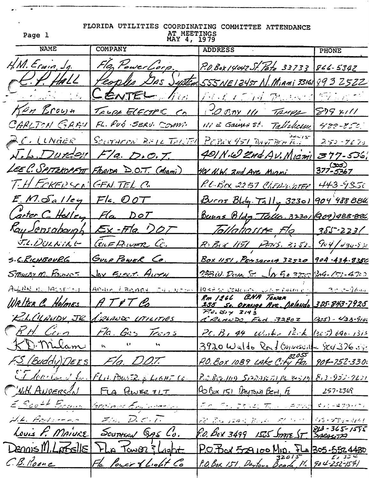| Page 1                                    | FLORIDA UTILITIES COORDINATING COMMITTEE ATTENDANCE<br>AT MEETINGS<br>MAY 4, 1979 |                                                               |                             |  |
|-------------------------------------------|-----------------------------------------------------------------------------------|---------------------------------------------------------------|-----------------------------|--|
| <b>NAME</b>                               | <b>COMPANY</b>                                                                    | <b>ADDRESS</b>                                                | <b>PHONE</b>                |  |
| $H_{n}M. E_{fwin, 2g.}$                   | Fla, PowerLorp.                                                                   | <u>P.O.Box 14042 St. Pete 33733 866-5342</u>                  |                             |  |
| $H$ Hall                                  | Peoples DAS System                                                                | <u>555NE1245T N. Miami 33161 893 2522</u>                     |                             |  |
| <u>randak (Cita</u>                       | CENTEL /                                                                          | <u> Paul a thad thomas 1977 and </u>                          |                             |  |
| Ken Brown                                 | TELPE ELECTPIC CA                                                                 | COBAY 111 TAMPA 879 XIII                                      |                             |  |
| CARLTON GARU                              | FL. Pub . SERU. COMM.                                                             | $111 \in$ Gains st. Talickery 488-850.                        |                             |  |
| <u>2C. LLNAER</u>                         | SCUTHERN BELL TELLER                                                              | PEBEX 451 DAVI BOR FOR                                        | $252 - 9675$                |  |
|                                           | $\sqrt{.}$ <i>L. Duréen Fla. D.O.T.</i>                                           | 401 N.W Znd AV. MICTHI                                        | 377-536;                    |  |
|                                           | LEEC. SPITZKOPFT FRAIDA D.O.T. (Miami)                                            | 401 N.W. 2nd Ave Migni                                        | <u>377-5367</u><br>377-5367 |  |
| T. H ECKERSON GENTEL C.                   |                                                                                   | P.C. Box 2251 Chepmotel                                       | 443-9350                    |  |
| $E_{1}M.\delta_{a}/\text{leg}$ $Fla. OOT$ |                                                                                   | Burns Blog. Tally 32301                                       | 904 488 884                 |  |
| Carter C Holley Fla DOT                   |                                                                                   | <u>Bunne Bldg Talla. 32301 (909) 988-826</u>                  |                             |  |
|                                           | Kay Jensabaugh Ex-Fla ') OT                                                       | <u>Tallahosse Fle 1385-2231</u>                               |                             |  |
|                                           | <u>J.L.DULNING CONFRONT C.</u>                                                    | R. Bed 1151 PMS. 3:52 904/430-830                             |                             |  |
| 5. <u>C.RICHBOURG</u> GULF POWER CO.      |                                                                                   | <u>Box 1151, Pensacous 32520 904-434-8350</u>                 |                             |  |
| <u> Stewer M. Power</u>                   | <u>Jax Event. Autri</u>                                                           | 233W. Donne St. JA 90 3750 204-153-4700                       |                             |  |
| ALLIN H. JACSBERT                         | Ahain ERRAON CALINEORS                                                            | $195250$ CONCRETE FORM $\frac{1}{2}$ = 30 5-16m               |                             |  |
| WALTER C. Holmes                          | ATFTC                                                                             | Rm 1266 CNA TONER<br>255 Se. ORANGE AVE. DRIANDO 325-843-7925 |                             |  |
|                                           | R.L.CLAUDY JR 12IAUS LITILITIES                                                   | $P3.39 \times 3143$<br>CRLANDO FLA 32802                      | $(325) - 423 - 9105$        |  |
| <u>RH Cinn</u>                            | Fla. Gas Trans                                                                    | $PL.B. 44$ White $12.5$ (325) 696-1312                        |                             |  |
| KD. Milam                                 | $\mathbf{U}$ .<br>$\mathbf{K}^{\dagger}$                                          | 3920 Waldo Road Gorvesuille Scr 326.19                        |                             |  |
| F.S. (Buddy) DEES                         | Fla. D.O.T.                                                                       | P.O. Box 1089 LAke City Fla. 904-752-330                      |                             |  |
|                                           | <u>ET lands de FLA Pourte et dans con</u>                                         | <u>P.o. Big. 109 Spanis Tiple 34519 813-953-7221</u>          |                             |  |
| W.H. ANDERSON                             | FLA PULER ILT                                                                     | 90 Box 151 DAYTONA BEN, F 257-2369                            |                             |  |
| E. Scott Braun                            | Greiner Erdnessen                                                                 | <u>FR. FELETIKO TILI LAPRA KILIETAKOL</u>                     |                             |  |
| A.L. Bodoverno                            | Fra. D.C.T.                                                                       | 22 Bu 1245 Book 27 2020 215 230-3141                          |                             |  |
| Louis F. MAIURE                           | Souttral GAS Lo.                                                                  | P.O. BOX 3499 LESS STATE ST 318-365-1595                      |                             |  |
| $D$ ennis M. Lorselle                     | FLA Tawo23 Laght                                                                  | $P.07$ or 529 100 Min. FLa 305.552.4430                       |                             |  |
| C.B. Roone                                | Fla Pour & Light Co                                                               | P.O. Box 151, Daytous Beach, Mc 904-252-1541                  |                             |  |
|                                           |                                                                                   |                                                               |                             |  |